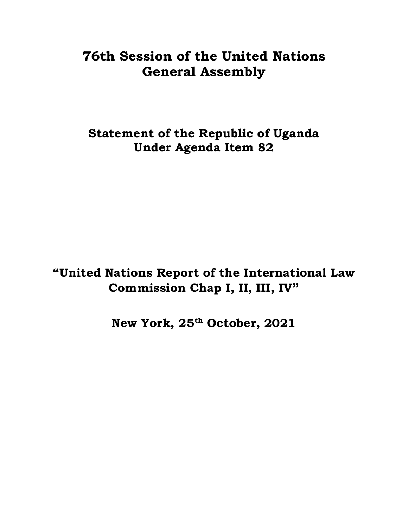# **76th Session of the United Nations General Assembly**

**Statement of the Republic of Uganda Under Agenda Item 82**

**"United Nations Report of the International Law Commission Chap I, II, III, IV"**

**New York, 25 th October, 2021**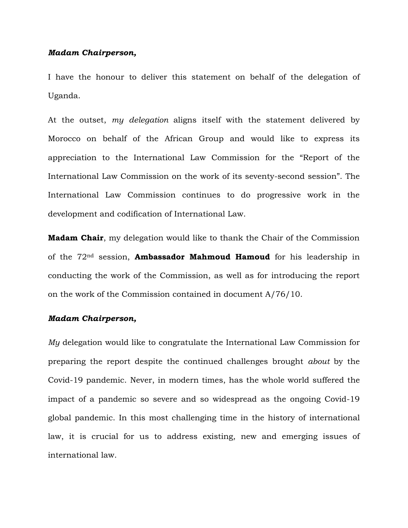## *Madam Chairperson,*

I have the honour to deliver this statement on behalf of the delegation of Uganda.

At the outset, *my delegation* aligns itself with the statement delivered by Morocco on behalf of the African Group and would like to express its appreciation to the International Law Commission for the "Report of the International Law Commission on the work of its seventy-second session". The International Law Commission continues to do progressive work in the development and codification of International Law.

**Madam Chair**, my delegation would like to thank the Chair of the Commission of the 72nd session, **Ambassador Mahmoud Hamoud** for his leadership in conducting the work of the Commission, as well as for introducing the report on the work of the Commission contained in document A/76/10.

#### *Madam Chairperson,*

*My* delegation would like to congratulate the International Law Commission for preparing the report despite the continued challenges brought *about* by the Covid-19 pandemic. Never, in modern times, has the whole world suffered the impact of a pandemic so severe and so widespread as the ongoing Covid-19 global pandemic. In this most challenging time in the history of international law, it is crucial for us to address existing, new and emerging issues of international law.